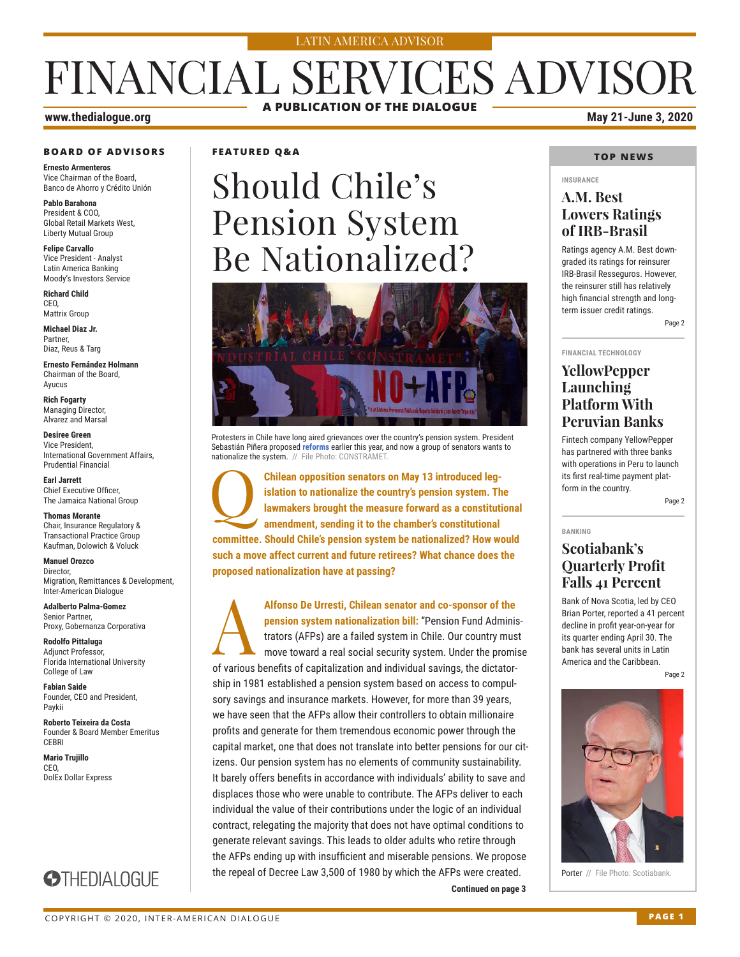#### LATIN AMERICA ADVISOR

## FINANCIAL SERVICES ADVISOR **A PUBLICATION OF THE DIALOGUE**

### **www.thedialogue.org May 21-June 3, 2020**

## **BOARD OF ADVISORS**

**Ernesto Armenteros** Vice Chairman of the Board, Banco de Ahorro y Crédito Unión

**Pablo Barahona** President & COO, Global Retail Markets West, Liberty Mutual Group

**Felipe Carvallo** Vice President - Analyst Latin America Banking Moody's Investors Service

**Richard Child** CEO, Mattrix Group

**Michael Diaz Jr.** Partner, Diaz, Reus & Targ

**Ernesto Fernández Holmann** Chairman of the Board, Ayucus

**Rich Fogarty** Managing Director, Alvarez and Marsal

**Desiree Green** Vice President, International Government Affairs, Prudential Financial

**Earl Jarrett** Chief Executive Officer, The Jamaica National Group

**Thomas Morante** Chair, Insurance Regulatory & Transactional Practice Group Kaufman, Dolowich & Voluck

**Manuel Orozco** Director, Migration, Remittances & Development, Inter-American Dialogue

**Adalberto Palma-Gomez** Senior Partner, Proxy, Gobernanza Corporativa

**Rodolfo Pittaluga** Adjunct Professor, Florida International University College of Law

**Fabian Saide**  Founder, CEO and President, Paykii

**Roberto Teixeira da Costa** Founder & Board Member Emeritus **CEBRI** 

**STHEDIALOGUE** 

**Mario Trujillo** CEO, DolEx Dollar Express

### **FEATURED Q&A**

# Should Chile's Pension System Be Nationalized?



Protesters in Chile have long aired grievances over the country's pension system. President Sebastián Piñera proposed **[reforms](http://www.thedialogue.org/wp-content/uploads/2020/03/FSA200311.pdf)** earlier this year, and now a group of senators wants to nationalize the system. // File Photo: CONSTRAMET.

Q**Chilean opposition senators on May 13 introduced legislation to nationalize the country's pension system. The lawmakers brought the measure forward as a constitutional amendment, sending it to the chamber's constitutional committee. Should Chile's pension system be nationalized? How would such a move affect current and future retirees? What chance does the proposed nationalization have at passing?**

Alfonso De Urresti, Chilean senator and co-sponsor of the **pension system nationalization bill:** "Pension Fund Administrators (AFPs) are a failed system in Chile. Our country mus move toward a real social security system. **pension system nationalization bill:** "Pension Fund Administrators (AFPs) are a failed system in Chile. Our country must move toward a real social security system. Under the promise of various benefits of capitalization and individual savings, the dictatorship in 1981 established a pension system based on access to compulsory savings and insurance markets. However, for more than 39 years, we have seen that the AFPs allow their controllers to obtain millionaire profits and generate for them tremendous economic power through the capital market, one that does not translate into better pensions for our citizens. Our pension system has no elements of community sustainability. It barely offers benefits in accordance with individuals' ability to save and displaces those who were unable to contribute. The AFPs deliver to each individual the value of their contributions under the logic of an individual contract, relegating the majority that does not have optimal conditions to generate relevant savings. This leads to older adults who retire through the AFPs ending up with insufficient and miserable pensions. We propose the repeal of Decree Law 3,500 of 1980 by which the AFPs were created.

#### **TOP NEWS**

#### **INSURANCE**

### **A.M. Best Lowers Ratings of IRB-Brasil**

Ratings agency A.M. Best downgraded its ratings for reinsurer IRB-Brasil Resseguros. However, the reinsurer still has relatively high financial strength and longterm issuer credit ratings.

Page 2

#### **FINANCIAL TECHNOLOGY**

### **YellowPepper Launching Platform With Peruvian Banks**

Fintech company YellowPepper has partnered with three banks with operations in Peru to launch its first real-time payment platform in the country.

Page 2

**BANKING**

### **Scotiabank's Quarterly Profit Falls 41 Percent**

Bank of Nova Scotia, led by CEO Brian Porter, reported a 41 percent decline in profit year-on-year for its quarter ending April 30. The bank has several units in Latin America and the Caribbean.

Page 2



Porter // File Photo: Scotiabank.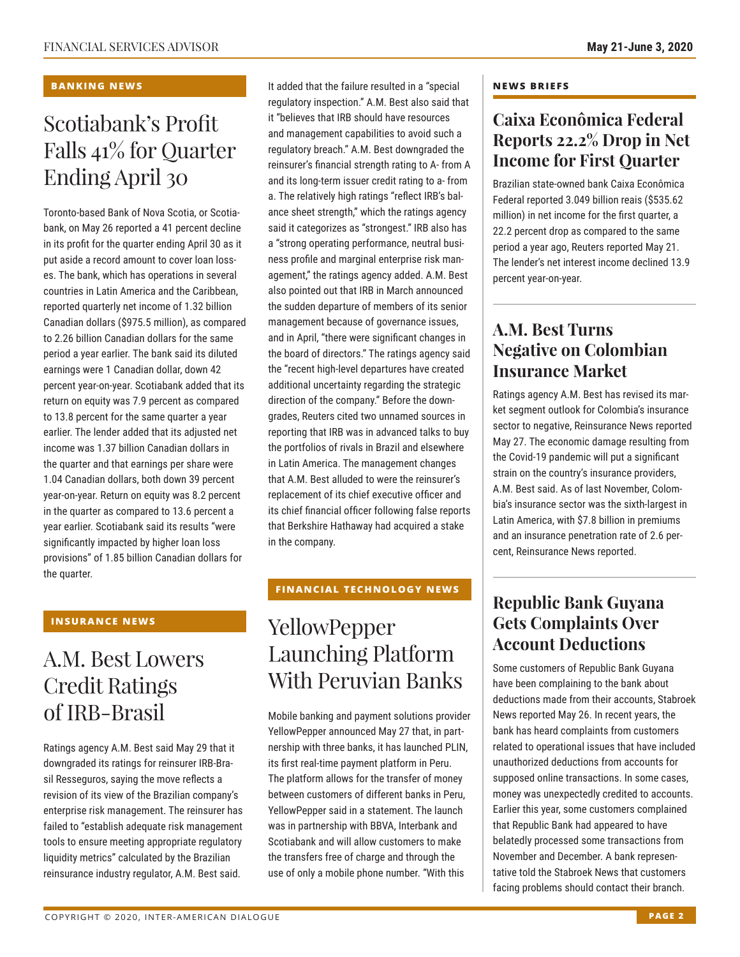#### **BANKING NEWS**

## Scotiabank's Profit Falls 41% for Quarter Ending April 30

Toronto-based Bank of Nova Scotia, or Scotiabank, on May 26 reported a 41 percent decline in its profit for the quarter ending April 30 as it put aside a record amount to cover loan losses. The bank, which has operations in several countries in Latin America and the Caribbean, reported quarterly net income of 1.32 billion Canadian dollars (\$975.5 million), as compared to 2.26 billion Canadian dollars for the same period a year earlier. The bank said its diluted earnings were 1 Canadian dollar, down 42 percent year-on-year. Scotiabank added that its return on equity was 7.9 percent as compared to 13.8 percent for the same quarter a year earlier. The lender added that its adjusted net income was 1.37 billion Canadian dollars in the quarter and that earnings per share were 1.04 Canadian dollars, both down 39 percent year-on-year. Return on equity was 8.2 percent in the quarter as compared to 13.6 percent a year earlier. Scotiabank said its results "were significantly impacted by higher loan loss provisions" of 1.85 billion Canadian dollars for the quarter.

### **INSURANCE NEWS**

### A.M. Best Lowers Credit Ratings of IRB-Brasil

Ratings agency A.M. Best said May 29 that it downgraded its ratings for reinsurer IRB-Brasil Resseguros, saying the move reflects a revision of its view of the Brazilian company's enterprise risk management. The reinsurer has failed to "establish adequate risk management tools to ensure meeting appropriate regulatory liquidity metrics" calculated by the Brazilian reinsurance industry regulator, A.M. Best said.

It added that the failure resulted in a "special regulatory inspection." A.M. Best also said that it "believes that IRB should have resources and management capabilities to avoid such a regulatory breach." A.M. Best downgraded the reinsurer's financial strength rating to A- from A and its long-term issuer credit rating to a- from a. The relatively high ratings "reflect IRB's balance sheet strength," which the ratings agency said it categorizes as "strongest." IRB also has a "strong operating performance, neutral business profile and marginal enterprise risk management," the ratings agency added. A.M. Best also pointed out that IRB in March announced the sudden departure of members of its senior management because of governance issues, and in April, "there were significant changes in the board of directors." The ratings agency said the "recent high-level departures have created additional uncertainty regarding the strategic direction of the company." Before the downgrades, Reuters cited two unnamed sources in reporting that IRB was in advanced talks to buy the portfolios of rivals in Brazil and elsewhere in Latin America. The management changes that A.M. Best alluded to were the reinsurer's replacement of its chief executive officer and its chief financial officer following false reports that Berkshire Hathaway had acquired a stake in the company.

### **FINANCIAL TECHNOLOGY NEWS**

### YellowPepper Launching Platform With Peruvian Banks

Mobile banking and payment solutions provider YellowPepper announced May 27 that, in partnership with three banks, it has launched PLIN, its first real-time payment platform in Peru. The platform allows for the transfer of money between customers of different banks in Peru, YellowPepper said in a statement. The launch was in partnership with BBVA, Interbank and Scotiabank and will allow customers to make the transfers free of charge and through the use of only a mobile phone number. "With this

#### **NEWS BRIEFS**

### **Caixa Econômica Federal Reports 22.2% Drop in Net Income for First Quarter**

Brazilian state-owned bank Caixa Econômica Federal reported 3.049 billion reais (\$535.62 million) in net income for the first quarter, a 22.2 percent drop as compared to the same period a year ago, Reuters reported May 21. The lender's net interest income declined 13.9 percent year-on-year.

### **A.M. Best Turns Negative on Colombian Insurance Market**

Ratings agency A.M. Best has revised its market segment outlook for Colombia's insurance sector to negative, Reinsurance News reported May 27. The economic damage resulting from the Covid-19 pandemic will put a significant strain on the country's insurance providers, A.M. Best said. As of last November, Colombia's insurance sector was the sixth-largest in Latin America, with \$7.8 billion in premiums and an insurance penetration rate of 2.6 percent, Reinsurance News reported.

### **Republic Bank Guyana Gets Complaints Over Account Deductions**

Some customers of Republic Bank Guyana have been complaining to the bank about deductions made from their accounts, Stabroek News reported May 26. In recent years, the bank has heard complaints from customers related to operational issues that have included unauthorized deductions from accounts for supposed online transactions. In some cases, money was unexpectedly credited to accounts. Earlier this year, some customers complained that Republic Bank had appeared to have belatedly processed some transactions from November and December. A bank representative told the Stabroek News that customers facing problems should contact their branch.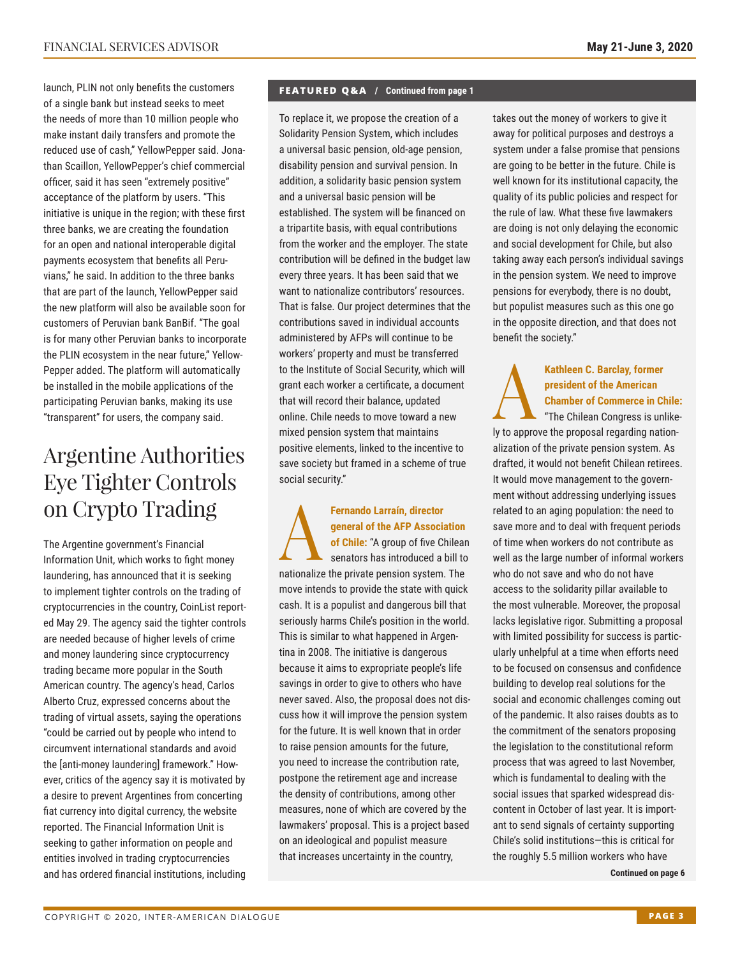launch, PLIN not only benefits the customers of a single bank but instead seeks to meet the needs of more than 10 million people who make instant daily transfers and promote the reduced use of cash," YellowPepper said. Jonathan Scaillon, YellowPepper's chief commercial officer, said it has seen "extremely positive" acceptance of the platform by users. "This initiative is unique in the region; with these first three banks, we are creating the foundation for an open and national interoperable digital payments ecosystem that benefits all Peruvians," he said. In addition to the three banks that are part of the launch, YellowPepper said the new platform will also be available soon for customers of Peruvian bank BanBif. "The goal is for many other Peruvian banks to incorporate the PLIN ecosystem in the near future," Yellow-Pepper added. The platform will automatically be installed in the mobile applications of the participating Peruvian banks, making its use "transparent" for users, the company said.

## Argentine Authorities Eye Tighter Controls on Crypto Trading

The Argentine government's Financial Information Unit, which works to fight money laundering, has announced that it is seeking to implement tighter controls on the trading of cryptocurrencies in the country, CoinList reported May 29. The agency said the tighter controls are needed because of higher levels of crime and money laundering since cryptocurrency trading became more popular in the South American country. The agency's head, Carlos Alberto Cruz, expressed concerns about the trading of virtual assets, saying the operations "could be carried out by people who intend to circumvent international standards and avoid the [anti-money laundering] framework." However, critics of the agency say it is motivated by a desire to prevent Argentines from concerting fiat currency into digital currency, the website reported. The Financial Information Unit is seeking to gather information on people and entities involved in trading cryptocurrencies and has ordered financial institutions, including

#### **FEATURED Q&A / Continued from page 1**

To replace it, we propose the creation of a Solidarity Pension System, which includes a universal basic pension, old-age pension, disability pension and survival pension. In addition, a solidarity basic pension system and a universal basic pension will be established. The system will be financed on a tripartite basis, with equal contributions from the worker and the employer. The state contribution will be defined in the budget law every three years. It has been said that we want to nationalize contributors' resources. That is false. Our project determines that the contributions saved in individual accounts administered by AFPs will continue to be workers' property and must be transferred to the Institute of Social Security, which will grant each worker a certificate, a document that will record their balance, updated online. Chile needs to move toward a new mixed pension system that maintains positive elements, linked to the incentive to save society but framed in a scheme of true social security."

Fernando Larraín, director<br>
general of the AFP Associa<br>
of Chile: "A group of five Cl<br>
senators has introduced a l **general of the AFP Association of Chile:** "A group of five Chilean senators has introduced a bill to nationalize the private pension system. The move intends to provide the state with quick cash. It is a populist and dangerous bill that seriously harms Chile's position in the world. This is similar to what happened in Argentina in 2008. The initiative is dangerous because it aims to expropriate people's life savings in order to give to others who have never saved. Also, the proposal does not discuss how it will improve the pension system for the future. It is well known that in order to raise pension amounts for the future, you need to increase the contribution rate, postpone the retirement age and increase the density of contributions, among other measures, none of which are covered by the lawmakers' proposal. This is a project based on an ideological and populist measure that increases uncertainty in the country,

takes out the money of workers to give it away for political purposes and destroys a system under a false promise that pensions are going to be better in the future. Chile is well known for its institutional capacity, the quality of its public policies and respect for the rule of law. What these five lawmakers are doing is not only delaying the economic and social development for Chile, but also taking away each person's individual savings in the pension system. We need to improve pensions for everybody, there is no doubt, but populist measures such as this one go in the opposite direction, and that does not benefit the society."

### Kathleen C. Barclay, former<br>
president of the American<br>
Chamber of Commerce in Cl<br>
The Chilean Congress is unit **president of the American Chamber of Commerce in Chile:** "The Chilean Congress is unlike-

ly to approve the proposal regarding nationalization of the private pension system. As drafted, it would not benefit Chilean retirees. It would move management to the government without addressing underlying issues related to an aging population: the need to save more and to deal with frequent periods of time when workers do not contribute as well as the large number of informal workers who do not save and who do not have access to the solidarity pillar available to the most vulnerable. Moreover, the proposal lacks legislative rigor. Submitting a proposal with limited possibility for success is particularly unhelpful at a time when efforts need to be focused on consensus and confidence building to develop real solutions for the social and economic challenges coming out of the pandemic. It also raises doubts as to the commitment of the senators proposing the legislation to the constitutional reform process that was agreed to last November, which is fundamental to dealing with the social issues that sparked widespread discontent in October of last year. It is important to send signals of certainty supporting Chile's solid institutions—this is critical for the roughly 5.5 million workers who have

**Continued on page 6**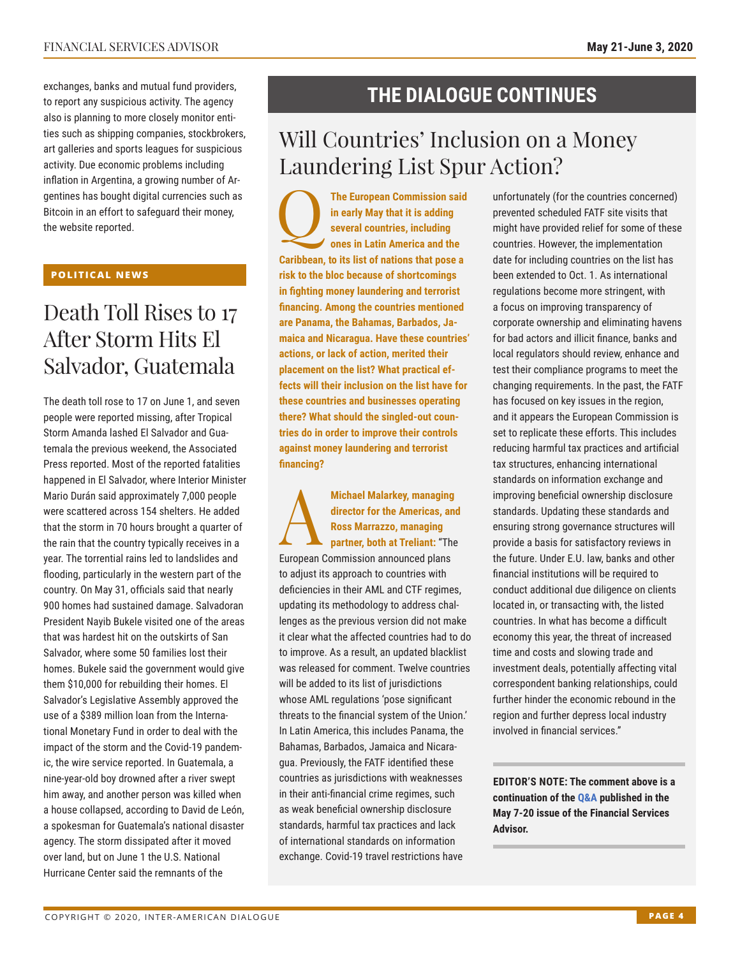exchanges, banks and mutual fund providers, to report any suspicious activity. The agency also is planning to more closely monitor entities such as shipping companies, stockbrokers, art galleries and sports leagues for suspicious activity. Due economic problems including inflation in Argentina, a growing number of Argentines has bought digital currencies such as Bitcoin in an effort to safeguard their money, the website reported.

#### **POLITICAL NEWS**

## Death Toll Rises to 17 After Storm Hits El Salvador, Guatemala

The death toll rose to 17 on June 1, and seven people were reported missing, after Tropical Storm Amanda lashed El Salvador and Guatemala the previous weekend, the Associated Press reported. Most of the reported fatalities happened in El Salvador, where Interior Minister Mario Durán said approximately 7,000 people were scattered across 154 shelters. He added that the storm in 70 hours brought a quarter of the rain that the country typically receives in a year. The torrential rains led to landslides and flooding, particularly in the western part of the country. On May 31, officials said that nearly 900 homes had sustained damage. Salvadoran President Nayib Bukele visited one of the areas that was hardest hit on the outskirts of San Salvador, where some 50 families lost their homes. Bukele said the government would give them \$10,000 for rebuilding their homes. El Salvador's Legislative Assembly approved the use of a \$389 million loan from the International Monetary Fund in order to deal with the impact of the storm and the Covid-19 pandemic, the wire service reported. In Guatemala, a nine-year-old boy drowned after a river swept him away, and another person was killed when a house collapsed, according to David de León, a spokesman for Guatemala's national disaster agency. The storm dissipated after it moved over land, but on June 1 the U.S. National Hurricane Center said the remnants of the

### **THE DIALOGUE CONTINUES**

## Will Countries' Inclusion on a Money Laundering List Spur Action?

The European Commission said<br>
in early May that it is adding<br>
several countries, including<br>
ones in Latin America and the **in early May that it is adding several countries, including ones in Latin America and the Caribbean, to its list of nations that pose a risk to the bloc because of shortcomings in fighting money laundering and terrorist financing. Among the countries mentioned are Panama, the Bahamas, Barbados, Jamaica and Nicaragua. Have these countries' actions, or lack of action, merited their placement on the list? What practical effects will their inclusion on the list have for these countries and businesses operating there? What should the singled-out countries do in order to improve their controls against money laundering and terrorist financing?**

Michael Malarkey, managing<br>director for the Americas, and<br>Ross Marrazzo, managing<br>partner, both at Treliant: "The<br>European Commission announced plane **director for the Americas, and Ross Marrazzo, managing partner, both at Treliant:** "The European Commission announced plans to adjust its approach to countries with deficiencies in their AML and CTF regimes, updating its methodology to address challenges as the previous version did not make it clear what the affected countries had to do to improve. As a result, an updated blacklist was released for comment. Twelve countries will be added to its list of jurisdictions whose AML regulations 'pose significant threats to the financial system of the Union.' In Latin America, this includes Panama, the Bahamas, Barbados, Jamaica and Nicaragua. Previously, the FATF identified these countries as jurisdictions with weaknesses in their anti-financial crime regimes, such as weak beneficial ownership disclosure standards, harmful tax practices and lack of international standards on information exchange. Covid-19 travel restrictions have

unfortunately (for the countries concerned) prevented scheduled FATF site visits that might have provided relief for some of these countries. However, the implementation date for including countries on the list has been extended to Oct. 1. As international regulations become more stringent, with a focus on improving transparency of corporate ownership and eliminating havens for bad actors and illicit finance, banks and local regulators should review, enhance and test their compliance programs to meet the changing requirements. In the past, the FATF has focused on key issues in the region, and it appears the European Commission is set to replicate these efforts. This includes reducing harmful tax practices and artificial tax structures, enhancing international standards on information exchange and improving beneficial ownership disclosure standards. Updating these standards and ensuring strong governance structures will provide a basis for satisfactory reviews in the future. Under E.U. law, banks and other financial institutions will be required to conduct additional due diligence on clients located in, or transacting with, the listed countries. In what has become a difficult economy this year, the threat of increased time and costs and slowing trade and investment deals, potentially affecting vital correspondent banking relationships, could further hinder the economic rebound in the region and further depress local industry involved in financial services."

**EDITOR'S NOTE: The comment above is a continuation of t[he Q&A pu](http://www.thedialogue.org/wp-content/uploads/2020/05/FSA200520.pdf)blished in the May 7-20 issue of the Financial Services Advisor.**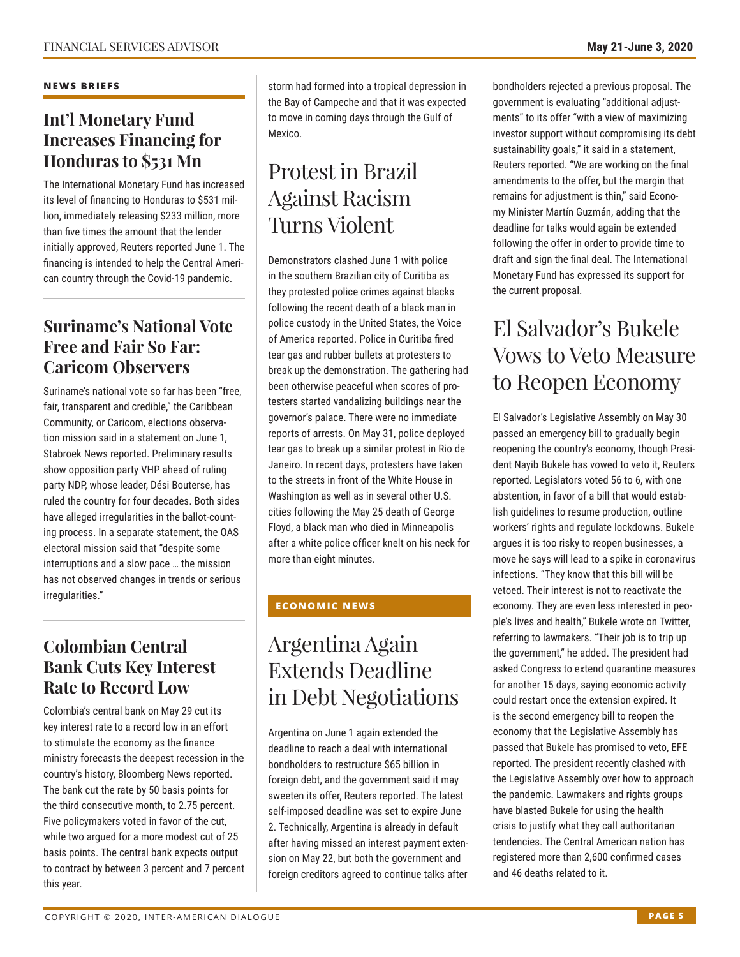#### **NEWS BRIEFS**

### **Int'l Monetary Fund Increases Financing for Honduras to \$531 Mn**

The International Monetary Fund has increased its level of financing to Honduras to \$531 million, immediately releasing \$233 million, more than five times the amount that the lender initially approved, Reuters reported June 1. The financing is intended to help the Central American country through the Covid-19 pandemic.

### **Suriname's National Vote Free and Fair So Far: Caricom Observers**

Suriname's national vote so far has been "free, fair, transparent and credible," the Caribbean Community, or Caricom, elections observation mission said in a statement on June 1, Stabroek News reported. Preliminary results show opposition party VHP ahead of ruling party NDP, whose leader, Dési Bouterse, has ruled the country for four decades. Both sides have alleged irregularities in the ballot-counting process. In a separate statement, the OAS electoral mission said that "despite some interruptions and a slow pace … the mission has not observed changes in trends or serious irregularities."

### **Colombian Central Bank Cuts Key Interest Rate to Record Low**

Colombia's central bank on May 29 cut its key interest rate to a record low in an effort to stimulate the economy as the finance ministry forecasts the deepest recession in the country's history, Bloomberg News reported. The bank cut the rate by 50 basis points for the third consecutive month, to 2.75 percent. Five policymakers voted in favor of the cut, while two argued for a more modest cut of 25 basis points. The central bank expects output to contract by between 3 percent and 7 percent this year.

storm had formed into a tropical depression in the Bay of Campeche and that it was expected to move in coming days through the Gulf of Mexico.

## Protest in Brazil Against Racism Turns Violent

Demonstrators clashed June 1 with police in the southern Brazilian city of Curitiba as they protested police crimes against blacks following the recent death of a black man in police custody in the United States, the Voice of America reported. Police in Curitiba fired tear gas and rubber bullets at protesters to break up the demonstration. The gathering had been otherwise peaceful when scores of protesters started vandalizing buildings near the governor's palace. There were no immediate reports of arrests. On May 31, police deployed tear gas to break up a similar protest in Rio de Janeiro. In recent days, protesters have taken to the streets in front of the White House in Washington as well as in several other U.S. cities following the May 25 death of George Floyd, a black man who died in Minneapolis after a white police officer knelt on his neck for more than eight minutes.

### **ECONOMIC NEWS**

## Argentina Again Extends Deadline in Debt Negotiations

Argentina on June 1 again extended the deadline to reach a deal with international bondholders to restructure \$65 billion in foreign debt, and the government said it may sweeten its offer, Reuters reported. The latest self-imposed deadline was set to expire June 2. Technically, Argentina is already in default after having missed an interest payment extension on May 22, but both the government and foreign creditors agreed to continue talks after

bondholders rejected a previous proposal. The government is evaluating "additional adjustments" to its offer "with a view of maximizing investor support without compromising its debt sustainability goals," it said in a statement, Reuters reported. "We are working on the final amendments to the offer, but the margin that remains for adjustment is thin," said Economy Minister Martín Guzmán, adding that the deadline for talks would again be extended following the offer in order to provide time to draft and sign the final deal. The International Monetary Fund has expressed its support for the current proposal.

## El Salvador's Bukele Vows to Veto Measure to Reopen Economy

El Salvador's Legislative Assembly on May 30 passed an emergency bill to gradually begin reopening the country's economy, though President Nayib Bukele has vowed to veto it, Reuters reported. Legislators voted 56 to 6, with one abstention, in favor of a bill that would establish guidelines to resume production, outline workers' rights and regulate lockdowns. Bukele argues it is too risky to reopen businesses, a move he says will lead to a spike in coronavirus infections. "They know that this bill will be vetoed. Their interest is not to reactivate the economy. They are even less interested in people's lives and health," Bukele wrote on Twitter, referring to lawmakers. "Their job is to trip up the government," he added. The president had asked Congress to extend quarantine measures for another 15 days, saying economic activity could restart once the extension expired. It is the second emergency bill to reopen the economy that the Legislative Assembly has passed that Bukele has promised to veto, EFE reported. The president recently clashed with the Legislative Assembly over how to approach the pandemic. Lawmakers and rights groups have blasted Bukele for using the health crisis to justify what they call authoritarian tendencies. The Central American nation has registered more than 2,600 confirmed cases and 46 deaths related to it.